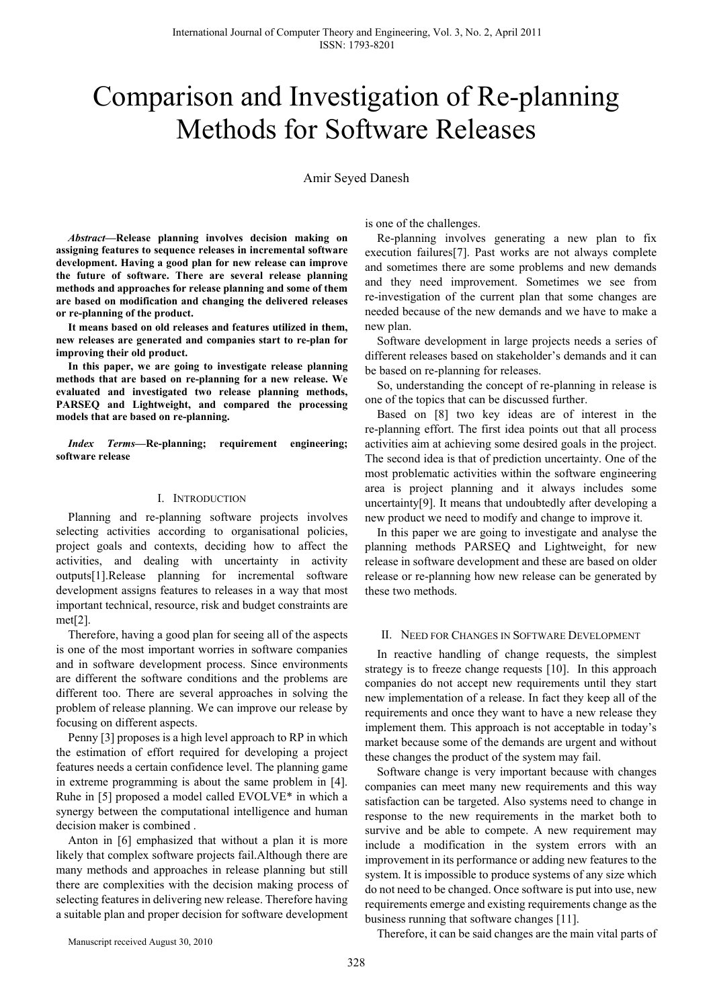# Comparison and Investigation of Re-planning Methods for Software Releases

Amir Seyed Danesh

*Abstract***—Release planning involves decision making on assigning features to sequence releases in incremental software development. Having a good plan for new release can improve the future of software. There are several release planning methods and approaches for release planning and some of them are based on modification and changing the delivered releases or re-planning of the product.** 

**It means based on old releases and features utilized in them, new releases are generated and companies start to re-plan for improving their old product.** 

**In this paper, we are going to investigate release planning methods that are based on re-planning for a new release. We evaluated and investigated two release planning methods, PARSEQ and Lightweight, and compared the processing models that are based on re-planning.** 

*Index Terms***—Re-planning; requirement engineering; software release** 

#### I. INTRODUCTION

Planning and re-planning software projects involves selecting activities according to organisational policies, project goals and contexts, deciding how to affect the activities, and dealing with uncertainty in activity outputs[1].Release planning for incremental software development assigns features to releases in a way that most important technical, resource, risk and budget constraints are met[2].

Therefore, having a good plan for seeing all of the aspects is one of the most important worries in software companies and in software development process. Since environments are different the software conditions and the problems are different too. There are several approaches in solving the problem of release planning. We can improve our release by focusing on different aspects.

Penny [3] proposes is a high level approach to RP in which the estimation of effort required for developing a project features needs a certain confidence level. The planning game in extreme programming is about the same problem in [4]. Ruhe in [5] proposed a model called EVOLVE\* in which a synergy between the computational intelligence and human decision maker is combined .

Anton in [6] emphasized that without a plan it is more likely that complex software projects fail.Although there are many methods and approaches in release planning but still there are complexities with the decision making process of selecting features in delivering new release. Therefore having a suitable plan and proper decision for software development

is one of the challenges.

Re-planning involves generating a new plan to fix execution failures[7]. Past works are not always complete and sometimes there are some problems and new demands and they need improvement. Sometimes we see from re-investigation of the current plan that some changes are needed because of the new demands and we have to make a new plan.

Software development in large projects needs a series of different releases based on stakeholder's demands and it can be based on re-planning for releases.

So, understanding the concept of re-planning in release is one of the topics that can be discussed further.

Based on [8] two key ideas are of interest in the re-planning effort. The first idea points out that all process activities aim at achieving some desired goals in the project. The second idea is that of prediction uncertainty. One of the most problematic activities within the software engineering area is project planning and it always includes some uncertainty[9]. It means that undoubtedly after developing a new product we need to modify and change to improve it.

In this paper we are going to investigate and analyse the planning methods PARSEQ and Lightweight, for new release in software development and these are based on older release or re-planning how new release can be generated by these two methods.

### II. NEED FOR CHANGES IN SOFTWARE DEVELOPMENT

In reactive handling of change requests, the simplest strategy is to freeze change requests [10]. In this approach companies do not accept new requirements until they start new implementation of a release. In fact they keep all of the requirements and once they want to have a new release they implement them. This approach is not acceptable in today's market because some of the demands are urgent and without these changes the product of the system may fail.

Software change is very important because with changes companies can meet many new requirements and this way satisfaction can be targeted. Also systems need to change in response to the new requirements in the market both to survive and be able to compete. A new requirement may include a modification in the system errors with an improvement in its performance or adding new features to the system. It is impossible to produce systems of any size which do not need to be changed. Once software is put into use, new requirements emerge and existing requirements change as the business running that software changes [11].

Manuscript received August 30, 2010

Therefore, it can be said changes are the main vital parts of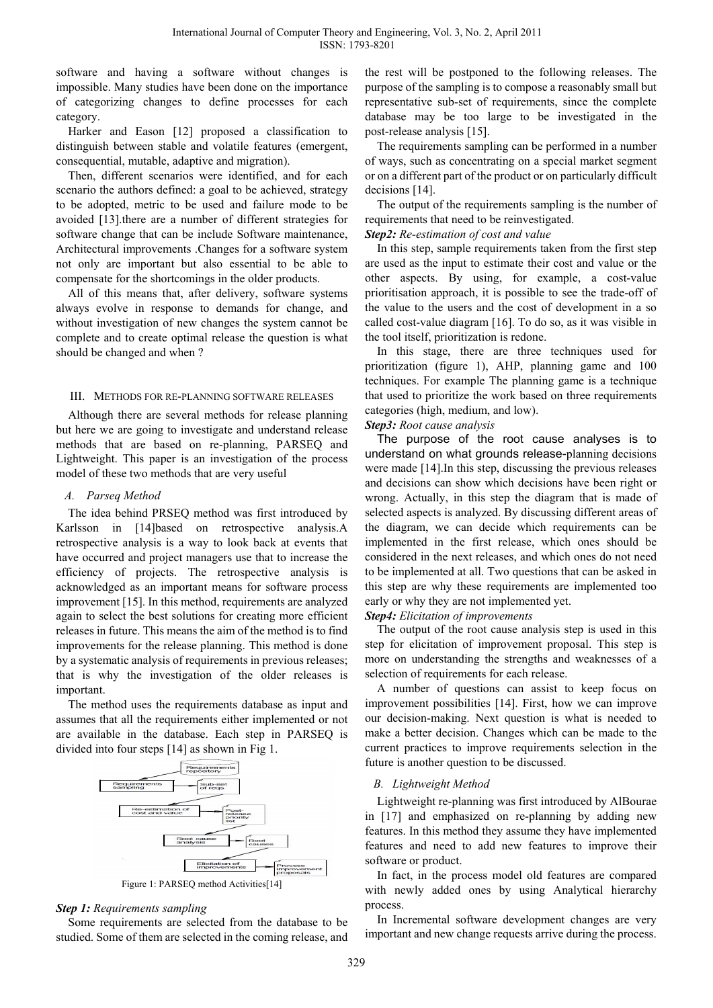software and having a software without changes is impossible. Many studies have been done on the importance of categorizing changes to define processes for each category.

Harker and Eason [12] proposed a classification to distinguish between stable and volatile features (emergent, consequential, mutable, adaptive and migration).

Then, different scenarios were identified, and for each scenario the authors defined: a goal to be achieved, strategy to be adopted, metric to be used and failure mode to be avoided [13].there are a number of different strategies for software change that can be include Software maintenance, Architectural improvements .Changes for a software system not only are important but also essential to be able to compensate for the shortcomings in the older products.

All of this means that, after delivery, software systems always evolve in response to demands for change, and without investigation of new changes the system cannot be complete and to create optimal release the question is what should be changed and when ?

## III. METHODS FOR RE-PLANNING SOFTWARE RELEASES

Although there are several methods for release planning but here we are going to investigate and understand release methods that are based on re-planning, PARSEQ and Lightweight. This paper is an investigation of the process model of these two methods that are very useful

## *A. Parseq Method*

The idea behind PRSEQ method was first introduced by Karlsson in [14]based on retrospective analysis.A retrospective analysis is a way to look back at events that have occurred and project managers use that to increase the efficiency of projects. The retrospective analysis is acknowledged as an important means for software process improvement [15]. In this method, requirements are analyzed again to select the best solutions for creating more efficient releases in future. This means the aim of the method is to find improvements for the release planning. This method is done by a systematic analysis of requirements in previous releases; that is why the investigation of the older releases is important.

The method uses the requirements database as input and assumes that all the requirements either implemented or not are available in the database. Each step in PARSEQ is divided into four steps [14] as shown in Fig 1.



Figure 1: PARSEQ method Activities[14]

## *Step 1: Requirements sampling*

Some requirements are selected from the database to be studied. Some of them are selected in the coming release, and

the rest will be postponed to the following releases. The purpose of the sampling is to compose a reasonably small but representative sub-set of requirements, since the complete database may be too large to be investigated in the post-release analysis [15].

The requirements sampling can be performed in a number of ways, such as concentrating on a special market segment or on a different part of the product or on particularly difficult decisions [14].

The output of the requirements sampling is the number of requirements that need to be reinvestigated.

## *Step2: Re-estimation of cost and value*

In this step, sample requirements taken from the first step are used as the input to estimate their cost and value or the other aspects. By using, for example, a cost-value prioritisation approach, it is possible to see the trade-off of the value to the users and the cost of development in a so called cost-value diagram [16]. To do so, as it was visible in the tool itself, prioritization is redone.

In this stage, there are three techniques used for prioritization (figure 1), AHP, planning game and 100 techniques. For example The planning game is a technique that used to prioritize the work based on three requirements categories (high, medium, and low).

## *Step3: Root cause analysis*

The purpose of the root cause analyses is to understand on what grounds release-planning decisions were made [14].In this step, discussing the previous releases and decisions can show which decisions have been right or wrong. Actually, in this step the diagram that is made of selected aspects is analyzed. By discussing different areas of the diagram, we can decide which requirements can be implemented in the first release, which ones should be considered in the next releases, and which ones do not need to be implemented at all. Two questions that can be asked in this step are why these requirements are implemented too early or why they are not implemented yet.

## *Step4: Elicitation of improvements*

The output of the root cause analysis step is used in this step for elicitation of improvement proposal. This step is more on understanding the strengths and weaknesses of a selection of requirements for each release.

A number of questions can assist to keep focus on improvement possibilities [14]. First, how we can improve our decision-making. Next question is what is needed to make a better decision. Changes which can be made to the current practices to improve requirements selection in the future is another question to be discussed.

# *B. Lightweight Method*

Lightweight re-planning was first introduced by AlBourae in [17] and emphasized on re-planning by adding new features. In this method they assume they have implemented features and need to add new features to improve their software or product.

In fact, in the process model old features are compared with newly added ones by using Analytical hierarchy process.

In Incremental software development changes are very important and new change requests arrive during the process.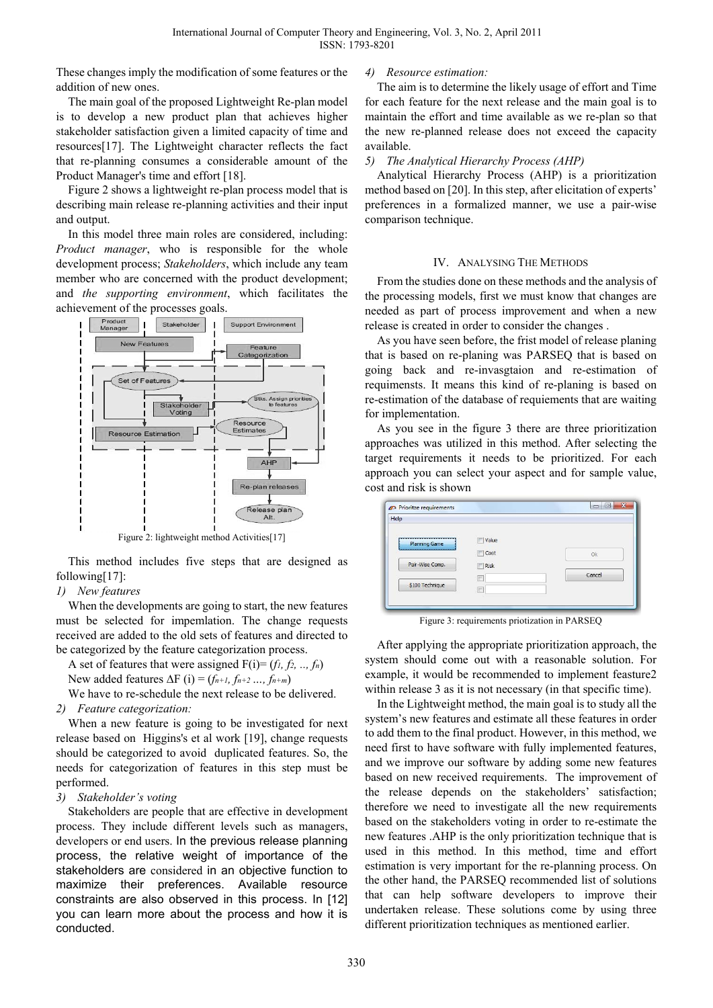These changes imply the modification of some features or the addition of new ones.

The main goal of the proposed Lightweight Re-plan model is to develop a new product plan that achieves higher stakeholder satisfaction given a limited capacity of time and resources[17]. The Lightweight character reflects the fact that re-planning consumes a considerable amount of the Product Manager's time and effort [18].

Figure 2 shows a lightweight re-plan process model that is describing main release re-planning activities and their input and output.

In this model three main roles are considered, including: *Product manager*, who is responsible for the whole development process; *Stakeholders*, which include any team member who are concerned with the product development; and *the supporting environment*, which facilitates the achievement of the processes goals.



Figure 2: lightweight method Activities[17]

This method includes five steps that are designed as following[17]:

## *1) New features*

When the developments are going to start, the new features must be selected for impemlation. The change requests received are added to the old sets of features and directed to be categorized by the feature categorization process.

A set of features that were assigned F(i)= (*f1, f2, .., fn*)

New added features ∆F (i) = (*fn+1, fn+2 …, fn+m*)

We have to re-schedule the next release to be delivered.

## *2) Feature categorization:*

When a new feature is going to be investigated for next release based on Higgins's et al work [19], change requests should be categorized to avoid duplicated features. So, the needs for categorization of features in this step must be performed.

# *3) Stakeholder's voting*

Stakeholders are people that are effective in development process. They include different levels such as managers, developers or end users. In the previous release planning process, the relative weight of importance of the stakeholders are considered in an objective function to maximize their preferences. Available resource constraints are also observed in this process. In [12] you can learn more about the process and how it is conducted.

## *4) Resource estimation:*

The aim is to determine the likely usage of effort and Time for each feature for the next release and the main goal is to maintain the effort and time available as we re-plan so that the new re-planned release does not exceed the capacity available.

## *5) The Analytical Hierarchy Process (AHP)*

Analytical Hierarchy Process (AHP) is a prioritization method based on [20]. In this step, after elicitation of experts' preferences in a formalized manner, we use a pair-wise comparison technique.

## IV. ANALYSING THE METHODS

From the studies done on these methods and the analysis of the processing models, first we must know that changes are needed as part of process improvement and when a new release is created in order to consider the changes .

As you have seen before, the frist model of release planing that is based on re-planing was PARSEQ that is based on going back and re-invasgtaion and re-estimation of requimensts. It means this kind of re-planing is based on re-estimation of the database of requiements that are waiting for implementation.

As you see in the figure 3 there are three prioritization approaches was utilized in this method. After selecting the target requirements it needs to be prioritized. For each approach you can select your aspect and for sample value, cost and risk is shown

| Help                 |                |           |
|----------------------|----------------|-----------|
| <b>Planning Game</b> | Value          |           |
|                      | Cost           | <b>Ok</b> |
| Pair-Wise Comp.      | Risk           |           |
|                      | $\overline{a}$ | Cancel    |
| \$100 Technique      |                |           |

Figure 3: requirements priotization in PARSEQ

After applying the appropriate prioritization approach, the system should come out with a reasonable solution. For example, it would be recommended to implement feasture2 within release 3 as it is not necessary (in that specific time).

In the Lightweight method, the main goal is to study all the system's new features and estimate all these features in order to add them to the final product. However, in this method, we need first to have software with fully implemented features, and we improve our software by adding some new features based on new received requirements. The improvement of the release depends on the stakeholders' satisfaction; therefore we need to investigate all the new requirements based on the stakeholders voting in order to re-estimate the new features .AHP is the only prioritization technique that is used in this method. In this method, time and effort estimation is very important for the re-planning process. On the other hand, the PARSEQ recommended list of solutions that can help software developers to improve their undertaken release. These solutions come by using three different prioritization techniques as mentioned earlier.